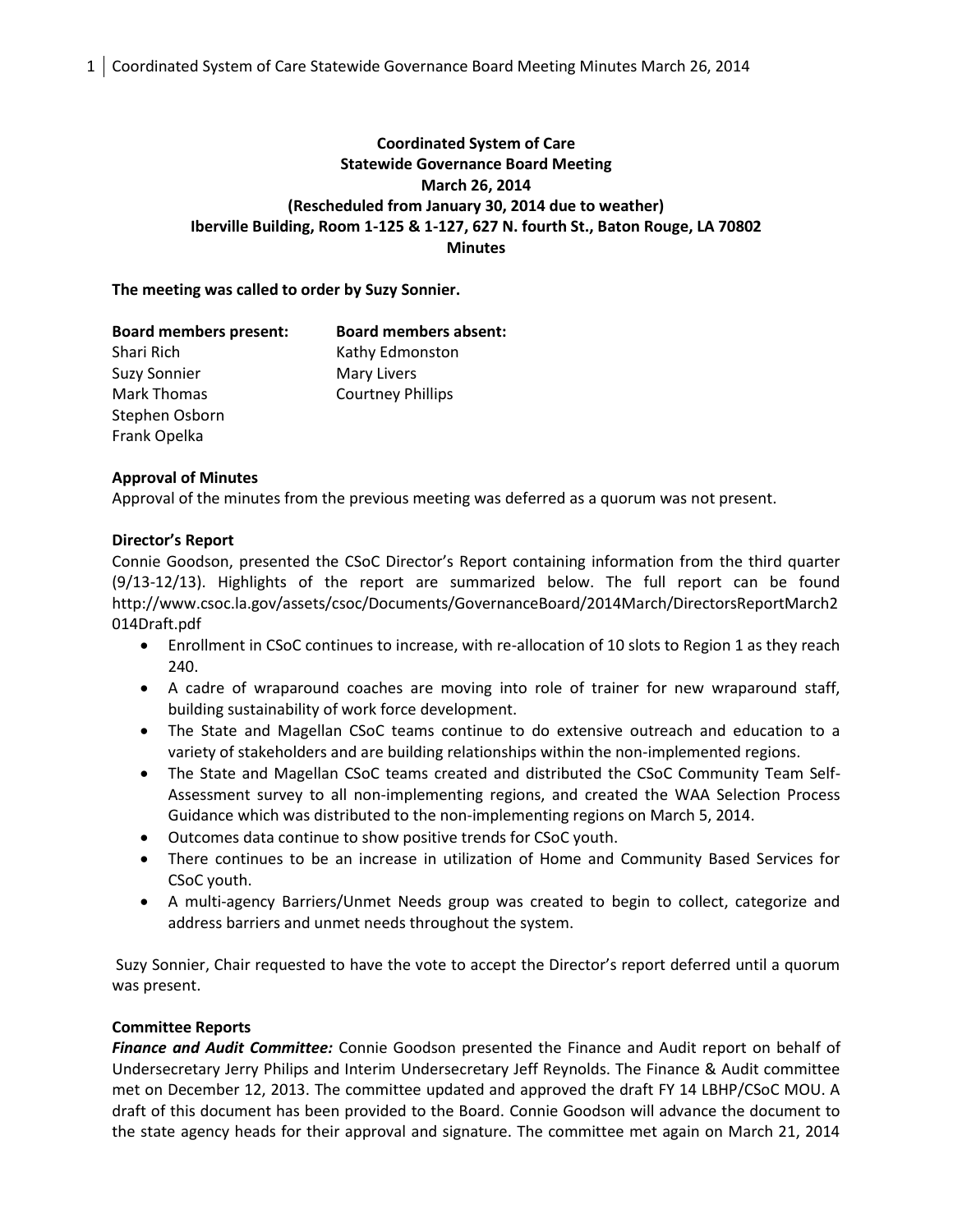1 Coordinated System of Care Statewide Governance Board Meeting Minutes March 26, 2014

# **Coordinated System of Care Statewide Governance Board Meeting March 26, 2014 (Rescheduled from January 30, 2014 due to weather) Iberville Building, Room 1-125 & 1-127, 627 N. fourth St., Baton Rouge, LA 70802 Minutes**

### **The meeting was called to order by Suzy Sonnier.**

| <b>Board members present:</b> | <b>Board members absent:</b> |
|-------------------------------|------------------------------|
| Shari Rich                    | Kathy Edmonston              |
| <b>Suzy Sonnier</b>           | <b>Mary Livers</b>           |
| <b>Mark Thomas</b>            | <b>Courtney Phillips</b>     |
| Stephen Osborn                |                              |
| Frank Opelka                  |                              |

#### **Approval of Minutes**

Approval of the minutes from the previous meeting was deferred as a quorum was not present.

#### **Director's Report**

Connie Goodson, presented the CSoC Director's Report containing information from the third quarter (9/13-12/13). Highlights of the report are summarized below. The full report can be found http://www.csoc.la.gov/assets/csoc/Documents/GovernanceBoard/2014March/DirectorsReportMarch2 014Draft.pdf

- Enrollment in CSoC continues to increase, with re-allocation of 10 slots to Region 1 as they reach 240.
- A cadre of wraparound coaches are moving into role of trainer for new wraparound staff, building sustainability of work force development.
- The State and Magellan CSoC teams continue to do extensive outreach and education to a variety of stakeholders and are building relationships within the non-implemented regions.
- The State and Magellan CSoC teams created and distributed the CSoC Community Team Self-Assessment survey to all non-implementing regions, and created the WAA Selection Process Guidance which was distributed to the non-implementing regions on March 5, 2014.
- Outcomes data continue to show positive trends for CSoC youth.
- There continues to be an increase in utilization of Home and Community Based Services for CSoC youth.
- A multi-agency Barriers/Unmet Needs group was created to begin to collect, categorize and address barriers and unmet needs throughout the system.

Suzy Sonnier, Chair requested to have the vote to accept the Director's report deferred until a quorum was present.

## **Committee Reports**

*Finance and Audit Committee:* Connie Goodson presented the Finance and Audit report on behalf of Undersecretary Jerry Philips and Interim Undersecretary Jeff Reynolds. The Finance & Audit committee met on December 12, 2013. The committee updated and approved the draft FY 14 LBHP/CSoC MOU. A draft of this document has been provided to the Board. Connie Goodson will advance the document to the state agency heads for their approval and signature. The committee met again on March 21, 2014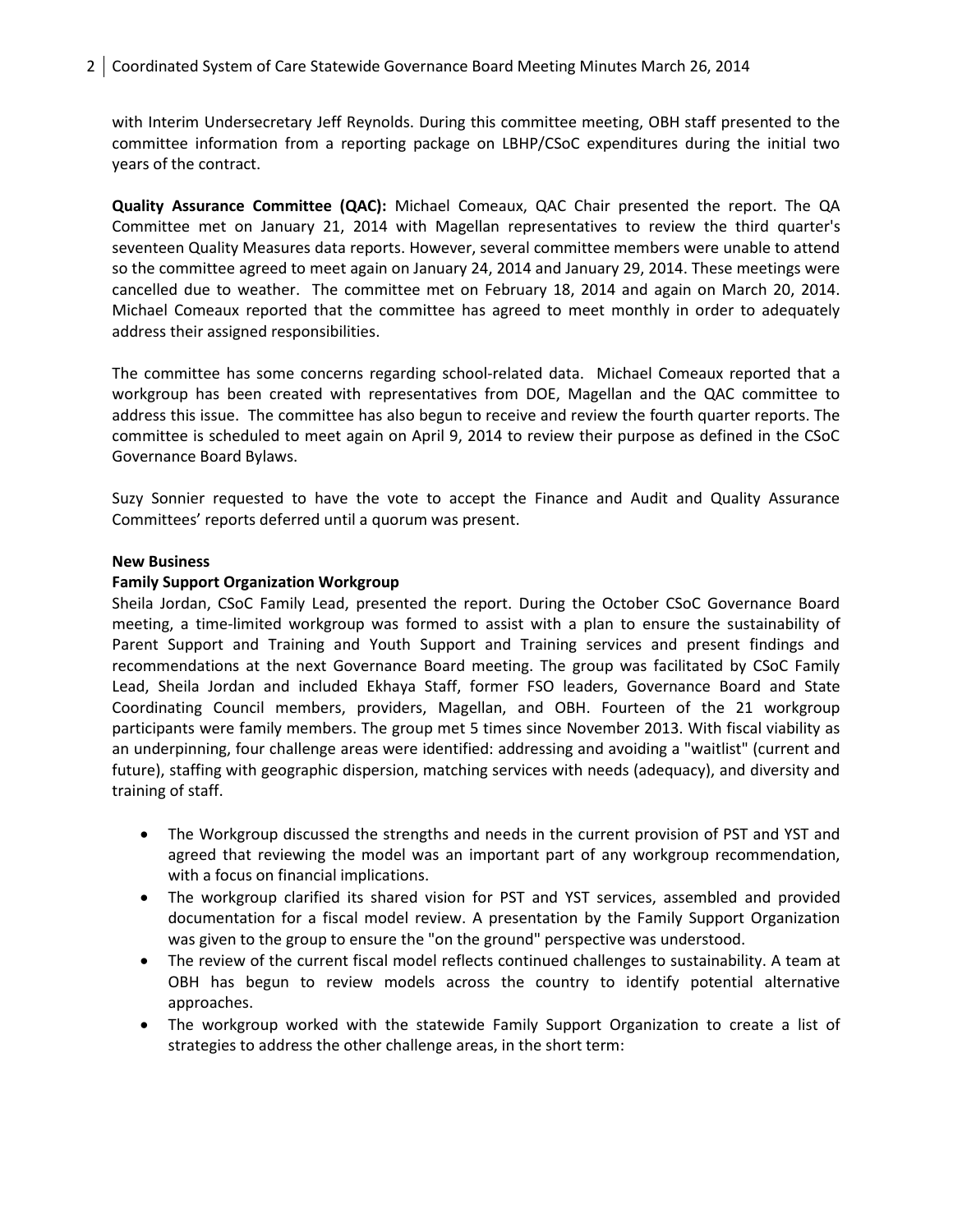with Interim Undersecretary Jeff Reynolds. During this committee meeting, OBH staff presented to the committee information from a reporting package on LBHP/CSoC expenditures during the initial two years of the contract.

**Quality Assurance Committee (QAC):** Michael Comeaux, QAC Chair presented the report. The QA Committee met on January 21, 2014 with Magellan representatives to review the third quarter's seventeen Quality Measures data reports. However, several committee members were unable to attend so the committee agreed to meet again on January 24, 2014 and January 29, 2014. These meetings were cancelled due to weather. The committee met on February 18, 2014 and again on March 20, 2014. Michael Comeaux reported that the committee has agreed to meet monthly in order to adequately address their assigned responsibilities.

The committee has some concerns regarding school-related data. Michael Comeaux reported that a workgroup has been created with representatives from DOE, Magellan and the QAC committee to address this issue. The committee has also begun to receive and review the fourth quarter reports. The committee is scheduled to meet again on April 9, 2014 to review their purpose as defined in the CSoC Governance Board Bylaws.

Suzy Sonnier requested to have the vote to accept the Finance and Audit and Quality Assurance Committees' reports deferred until a quorum was present.

#### **New Business**

#### **Family Support Organization Workgroup**

Sheila Jordan, CSoC Family Lead, presented the report. During the October CSoC Governance Board meeting, a time-limited workgroup was formed to assist with a plan to ensure the sustainability of Parent Support and Training and Youth Support and Training services and present findings and recommendations at the next Governance Board meeting. The group was facilitated by CSoC Family Lead, Sheila Jordan and included Ekhaya Staff, former FSO leaders, Governance Board and State Coordinating Council members, providers, Magellan, and OBH. Fourteen of the 21 workgroup participants were family members. The group met 5 times since November 2013. With fiscal viability as an underpinning, four challenge areas were identified: addressing and avoiding a "waitlist" (current and future), staffing with geographic dispersion, matching services with needs (adequacy), and diversity and training of staff.

- The Workgroup discussed the strengths and needs in the current provision of PST and YST and agreed that reviewing the model was an important part of any workgroup recommendation, with a focus on financial implications.
- The workgroup clarified its shared vision for PST and YST services, assembled and provided documentation for a fiscal model review. A presentation by the Family Support Organization was given to the group to ensure the "on the ground" perspective was understood.
- The review of the current fiscal model reflects continued challenges to sustainability. A team at OBH has begun to review models across the country to identify potential alternative approaches.
- The workgroup worked with the statewide Family Support Organization to create a list of strategies to address the other challenge areas, in the short term: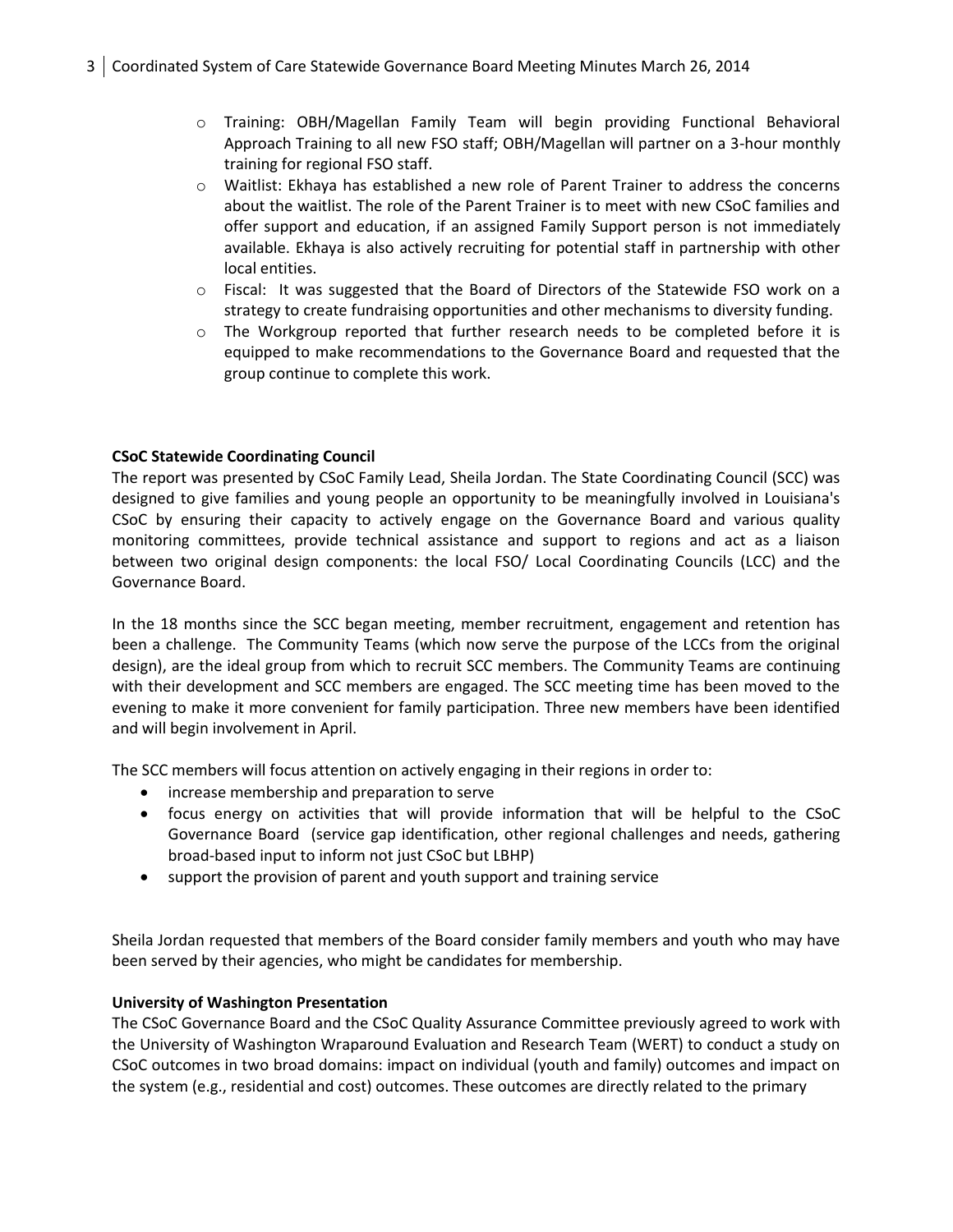- o Training: OBH/Magellan Family Team will begin providing Functional Behavioral Approach Training to all new FSO staff; OBH/Magellan will partner on a 3-hour monthly training for regional FSO staff.
- o Waitlist: Ekhaya has established a new role of Parent Trainer to address the concerns about the waitlist. The role of the Parent Trainer is to meet with new CSoC families and offer support and education, if an assigned Family Support person is not immediately available. Ekhaya is also actively recruiting for potential staff in partnership with other local entities.
- o Fiscal: It was suggested that the Board of Directors of the Statewide FSO work on a strategy to create fundraising opportunities and other mechanisms to diversity funding.
- o The Workgroup reported that further research needs to be completed before it is equipped to make recommendations to the Governance Board and requested that the group continue to complete this work.

## **CSoC Statewide Coordinating Council**

The report was presented by CSoC Family Lead, Sheila Jordan. The State Coordinating Council (SCC) was designed to give families and young people an opportunity to be meaningfully involved in Louisiana's CSoC by ensuring their capacity to actively engage on the Governance Board and various quality monitoring committees, provide technical assistance and support to regions and act as a liaison between two original design components: the local FSO/ Local Coordinating Councils (LCC) and the Governance Board.

In the 18 months since the SCC began meeting, member recruitment, engagement and retention has been a challenge. The Community Teams (which now serve the purpose of the LCCs from the original design), are the ideal group from which to recruit SCC members. The Community Teams are continuing with their development and SCC members are engaged. The SCC meeting time has been moved to the evening to make it more convenient for family participation. Three new members have been identified and will begin involvement in April.

The SCC members will focus attention on actively engaging in their regions in order to:

- increase membership and preparation to serve
- focus energy on activities that will provide information that will be helpful to the CSoC Governance Board (service gap identification, other regional challenges and needs, gathering broad-based input to inform not just CSoC but LBHP)
- support the provision of parent and youth support and training service

Sheila Jordan requested that members of the Board consider family members and youth who may have been served by their agencies, who might be candidates for membership.

## **University of Washington Presentation**

The CSoC Governance Board and the CSoC Quality Assurance Committee previously agreed to work with the University of Washington Wraparound Evaluation and Research Team (WERT) to conduct a study on CSoC outcomes in two broad domains: impact on individual (youth and family) outcomes and impact on the system (e.g., residential and cost) outcomes. These outcomes are directly related to the primary